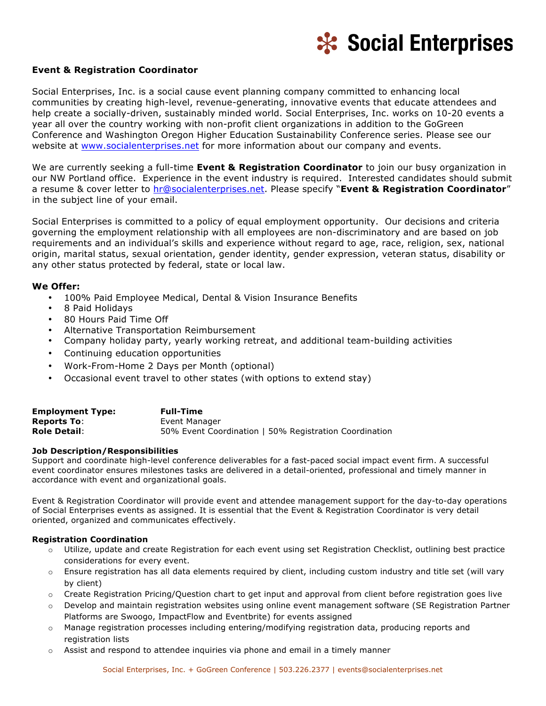

# **Event & Registration Coordinator**

Social Enterprises, Inc. is a social cause event planning company committed to enhancing local communities by creating high-level, revenue-generating, innovative events that educate attendees and help create a socially-driven, sustainably minded world. Social Enterprises, Inc. works on 10-20 events a year all over the country working with non-profit client organizations in addition to the GoGreen Conference and Washington Oregon Higher Education Sustainability Conference series. Please see our website at www.socialenterprises.net for more information about our company and events.

We are currently seeking a full-time **Event & Registration Coordinator** to join our busy organization in our NW Portland office. Experience in the event industry is required. Interested candidates should submit a resume & cover letter to hr@socialenterprises.net. Please specify "**Event & Registration Coordinator**" in the subject line of your email.

Social Enterprises is committed to a policy of equal employment opportunity. Our decisions and criteria governing the employment relationship with all employees are non-discriminatory and are based on job requirements and an individual's skills and experience without regard to age, race, religion, sex, national origin, marital status, sexual orientation, gender identity, gender expression, veteran status, disability or any other status protected by federal, state or local law.

### **We Offer:**

- 100% Paid Employee Medical, Dental & Vision Insurance Benefits
- 8 Paid Holidays
- 80 Hours Paid Time Off
- Alternative Transportation Reimbursement
- Company holiday party, yearly working retreat, and additional team-building activities
- Continuing education opportunities
- Work-From-Home 2 Days per Month (optional)
- Occasional event travel to other states (with options to extend stay)

| <b>Employment Type:</b> | <b>Full-Time</b>                                       |
|-------------------------|--------------------------------------------------------|
| <b>Reports To:</b>      | Event Manager                                          |
| <b>Role Detail:</b>     | 50% Event Coordination   50% Registration Coordination |

#### **Job Description/Responsibilities**

Support and coordinate high-level conference deliverables for a fast-paced social impact event firm. A successful event coordinator ensures milestones tasks are delivered in a detail-oriented, professional and timely manner in accordance with event and organizational goals.

Event & Registration Coordinator will provide event and attendee management support for the day-to-day operations of Social Enterprises events as assigned. It is essential that the Event & Registration Coordinator is very detail oriented, organized and communicates effectively.

#### **Registration Coordination**

- o Utilize, update and create Registration for each event using set Registration Checklist, outlining best practice considerations for every event.
- o Ensure registration has all data elements required by client, including custom industry and title set (will vary by client)
- o Create Registration Pricing/Question chart to get input and approval from client before registration goes live
- o Develop and maintain registration websites using online event management software (SE Registration Partner Platforms are Swoogo, ImpactFlow and Eventbrite) for events assigned
- o Manage registration processes including entering/modifying registration data, producing reports and registration lists
- $\circ$  Assist and respond to attendee inquiries via phone and email in a timely manner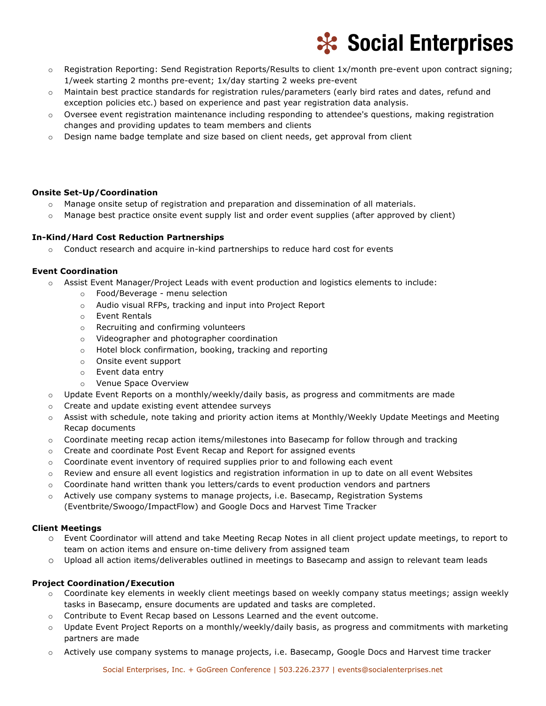

- o Registration Reporting: Send Registration Reports/Results to client 1x/month pre-event upon contract signing; 1/week starting 2 months pre-event; 1x/day starting 2 weeks pre-event
- o Maintain best practice standards for registration rules/parameters (early bird rates and dates, refund and exception policies etc.) based on experience and past year registration data analysis.
- $\circ$  Oversee event registration maintenance including responding to attendee's questions, making registration changes and providing updates to team members and clients
- $\circ$  Design name badge template and size based on client needs, get approval from client

### **Onsite Set-Up/Coordination**

- o Manage onsite setup of registration and preparation and dissemination of all materials.
- o Manage best practice onsite event supply list and order event supplies (after approved by client)

# **In-Kind/Hard Cost Reduction Partnerships**

 $\circ$  Conduct research and acquire in-kind partnerships to reduce hard cost for events

# **Event Coordination**

- o Assist Event Manager/Project Leads with event production and logistics elements to include:
	- o Food/Beverage menu selection
	- o Audio visual RFPs, tracking and input into Project Report
	- o Event Rentals
	- o Recruiting and confirming volunteers
	- o Videographer and photographer coordination
	- o Hotel block confirmation, booking, tracking and reporting
	- o Onsite event support
	- o Event data entry
	- o Venue Space Overview
- $\circ$  Update Event Reports on a monthly/weekly/daily basis, as progress and commitments are made
- o Create and update existing event attendee surveys
- o Assist with schedule, note taking and priority action items at Monthly/Weekly Update Meetings and Meeting Recap documents
- $\circ$  Coordinate meeting recap action items/milestones into Basecamp for follow through and tracking
- o Create and coordinate Post Event Recap and Report for assigned events
- $\circ$  Coordinate event inventory of required supplies prior to and following each event
- $\circ$  Review and ensure all event logistics and registration information in up to date on all event Websites
- o Coordinate hand written thank you letters/cards to event production vendors and partners
- o Actively use company systems to manage projects, i.e. Basecamp, Registration Systems (Eventbrite/Swoogo/ImpactFlow) and Google Docs and Harvest Time Tracker

### **Client Meetings**

- o Event Coordinator will attend and take Meeting Recap Notes in all client project update meetings, to report to team on action items and ensure on-time delivery from assigned team
- o Upload all action items/deliverables outlined in meetings to Basecamp and assign to relevant team leads

# **Project Coordination/Execution**

- o Coordinate key elements in weekly client meetings based on weekly company status meetings; assign weekly tasks in Basecamp, ensure documents are updated and tasks are completed.
- o Contribute to Event Recap based on Lessons Learned and the event outcome.
- o Update Event Project Reports on a monthly/weekly/daily basis, as progress and commitments with marketing partners are made
- o Actively use company systems to manage projects, i.e. Basecamp, Google Docs and Harvest time tracker